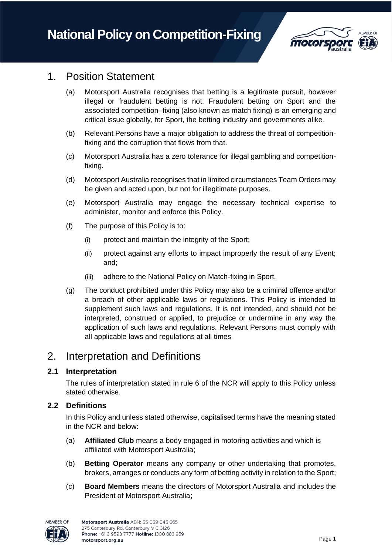

## 1. Position Statement

- (a) Motorsport Australia recognises that betting is a legitimate pursuit, however illegal or fraudulent betting is not. Fraudulent betting on Sport and the associated competition–fixing (also known as match fixing) is an emerging and critical issue globally, for Sport, the betting industry and governments alike.
- (b) Relevant Persons have a major obligation to address the threat of competitionfixing and the corruption that flows from that.
- (c) Motorsport Australia has a zero tolerance for illegal gambling and competitionfixing.
- (d) Motorsport Australia recognises that in limited circumstances Team Orders may be given and acted upon, but not for illegitimate purposes.
- (e) Motorsport Australia may engage the necessary technical expertise to administer, monitor and enforce this Policy.
- (f) The purpose of this Policy is to:
	- (i) protect and maintain the integrity of the Sport;
	- (ii) protect against any efforts to impact improperly the result of any Event; and;
	- (iii) adhere to the National Policy on Match-fixing in Sport.
- (g) The conduct prohibited under this Policy may also be a criminal offence and/or a breach of other applicable laws or regulations. This Policy is intended to supplement such laws and regulations. It is not intended, and should not be interpreted, construed or applied, to prejudice or undermine in any way the application of such laws and regulations. Relevant Persons must comply with all applicable laws and regulations at all times

# 2. Interpretation and Definitions

### **2.1 Interpretation**

The rules of interpretation stated in rule 6 of the NCR will apply to this Policy unless stated otherwise.

### **2.2 Definitions**

In this Policy and unless stated otherwise, capitalised terms have the meaning stated in the NCR and below:

- (a) **Affiliated Club** means a body engaged in motoring activities and which is affiliated with Motorsport Australia;
- (b) **Betting Operator** means any company or other undertaking that promotes, brokers, arranges or conducts any form of betting activity in relation to the Sport;
- (c) **Board Members** means the directors of Motorsport Australia and includes the President of Motorsport Australia;

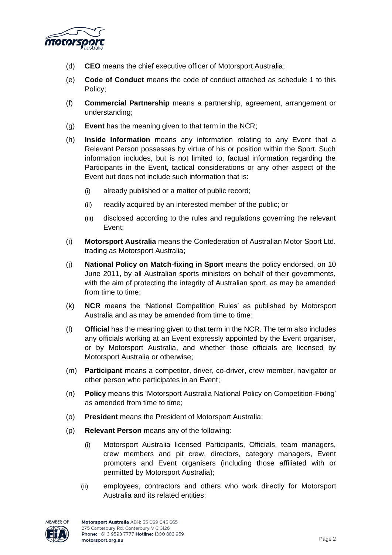

- (d) **CEO** means the chief executive officer of Motorsport Australia;
- (e) **Code of Conduct** means the code of conduct attached as schedule 1 to this Policy;
- (f) **Commercial Partnership** means a partnership, agreement, arrangement or understanding;
- (g) **Event** has the meaning given to that term in the NCR;
- (h) **Inside Information** means any information relating to any Event that a Relevant Person possesses by virtue of his or position within the Sport. Such information includes, but is not limited to, factual information regarding the Participants in the Event, tactical considerations or any other aspect of the Event but does not include such information that is:
	- (i) already published or a matter of public record;
	- (ii) readily acquired by an interested member of the public; or
	- (iii) disclosed according to the rules and regulations governing the relevant Event;
- (i) **Motorsport Australia** means the Confederation of Australian Motor Sport Ltd. trading as Motorsport Australia;
- (j) **National Policy on Match-fixing in Sport** means the policy endorsed, on 10 June 2011, by all Australian sports ministers on behalf of their governments, with the aim of protecting the integrity of Australian sport, as may be amended from time to time;
- (k) **NCR** means the 'National Competition Rules' as published by Motorsport Australia and as may be amended from time to time;
- (l) **Official** has the meaning given to that term in the NCR. The term also includes any officials working at an Event expressly appointed by the Event organiser, or by Motorsport Australia, and whether those officials are licensed by Motorsport Australia or otherwise;
- (m) **Participant** means a competitor, driver, co-driver, crew member, navigator or other person who participates in an Event;
- (n) **Policy** means this 'Motorsport Australia National Policy on Competition-Fixing' as amended from time to time;
- (o) **President** means the President of Motorsport Australia;
- (p) **Relevant Person** means any of the following:
	- (i) Motorsport Australia licensed Participants, Officials, team managers, crew members and pit crew, directors, category managers, Event promoters and Event organisers (including those affiliated with or permitted by Motorsport Australia);
	- (ii) employees, contractors and others who work directly for Motorsport Australia and its related entities;

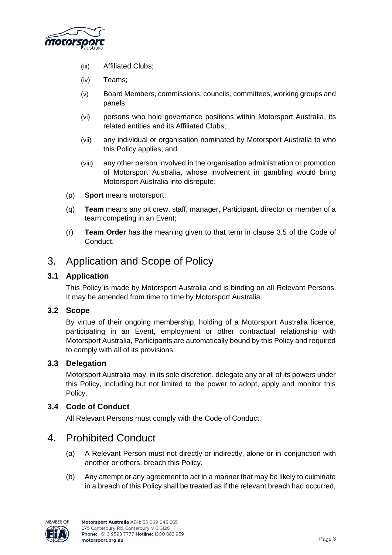

- (iii) Affiliated Clubs;
- (iv) Teams;
- (v) Board Members, commissions, councils, committees, working groups and panels;
- (vi) persons who hold governance positions within Motorsport Australia, its related entities and its Affiliated Clubs;
- (vii) any individual or organisation nominated by Motorsport Australia to who this Policy applies; and
- (viii) any other person involved in the organisation administration or promotion of Motorsport Australia, whose involvement in gambling would bring Motorsport Australia into disrepute;
- (p) **Sport** means motorsport;
- (q) **Team** means any pit crew, staff, manager, Participant, director or member of a team competing in an Event;
- (r) **Team Order** has the meaning given to that term in clause 3.5 of the Code of Conduct.

# 3. Application and Scope of Policy

### **3.1 Application**

This Policy is made by Motorsport Australia and is binding on all Relevant Persons. It may be amended from time to time by Motorsport Australia.

### **3.2 Scope**

By virtue of their ongoing membership, holding of a Motorsport Australia licence, participating in an Event, employment or other contractual relationship with Motorsport Australia, Participants are automatically bound by this Policy and required to comply with all of its provisions.

### **3.3 Delegation**

Motorsport Australia may, in its sole discretion, delegate any or all of its powers under this Policy, including but not limited to the power to adopt, apply and monitor this Policy.

### **3.4 Code of Conduct**

All Relevant Persons must comply with the Code of Conduct.

## 4. Prohibited Conduct

- (a) A Relevant Person must not directly or indirectly, alone or in conjunction with another or others, breach this Policy.
- (b) Any attempt or any agreement to act in a manner that may be likely to culminate in a breach of this Policy shall be treated as if the relevant breach had occurred,

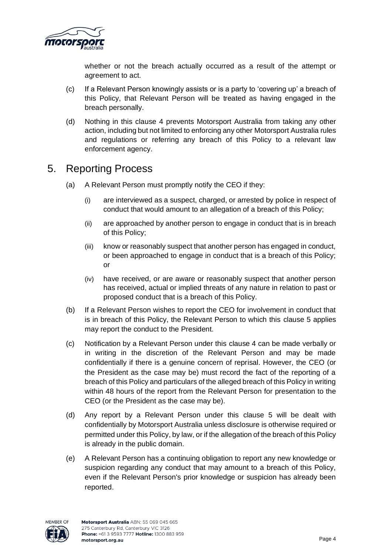

whether or not the breach actually occurred as a result of the attempt or agreement to act.

- (c) If a Relevant Person knowingly assists or is a party to 'covering up' a breach of this Policy, that Relevant Person will be treated as having engaged in the breach personally.
- (d) Nothing in this clause 4 prevents Motorsport Australia from taking any other action, including but not limited to enforcing any other Motorsport Australia rules and regulations or referring any breach of this Policy to a relevant law enforcement agency.

# 5. Reporting Process

- (a) A Relevant Person must promptly notify the CEO if they:
	- (i) are interviewed as a suspect, charged, or arrested by police in respect of conduct that would amount to an allegation of a breach of this Policy;
	- (ii) are approached by another person to engage in conduct that is in breach of this Policy;
	- (iii) know or reasonably suspect that another person has engaged in conduct, or been approached to engage in conduct that is a breach of this Policy; or
	- (iv) have received, or are aware or reasonably suspect that another person has received, actual or implied threats of any nature in relation to past or proposed conduct that is a breach of this Policy.
- (b) If a Relevant Person wishes to report the CEO for involvement in conduct that is in breach of this Policy, the Relevant Person to which this clause 5 applies may report the conduct to the President.
- (c) Notification by a Relevant Person under this clause 4 can be made verbally or in writing in the discretion of the Relevant Person and may be made confidentially if there is a genuine concern of reprisal. However, the CEO (or the President as the case may be) must record the fact of the reporting of a breach of this Policy and particulars of the alleged breach of this Policy in writing within 48 hours of the report from the Relevant Person for presentation to the CEO (or the President as the case may be).
- (d) Any report by a Relevant Person under this clause 5 will be dealt with confidentially by Motorsport Australia unless disclosure is otherwise required or permitted under this Policy, by law, or if the allegation of the breach of this Policy is already in the public domain.
- (e) A Relevant Person has a continuing obligation to report any new knowledge or suspicion regarding any conduct that may amount to a breach of this Policy, even if the Relevant Person's prior knowledge or suspicion has already been reported.

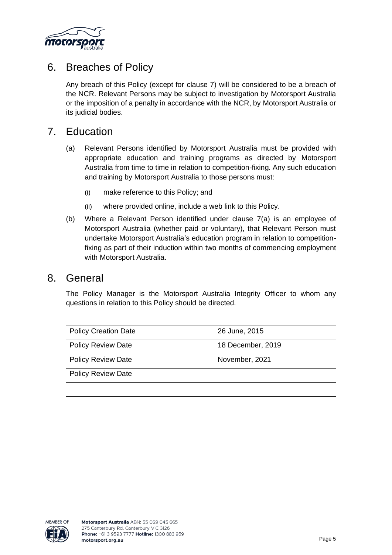

# 6. Breaches of Policy

Any breach of this Policy (except for clause 7) will be considered to be a breach of the NCR. Relevant Persons may be subject to investigation by Motorsport Australia or the imposition of a penalty in accordance with the NCR, by Motorsport Australia or its judicial bodies.

## 7. Education

- (a) Relevant Persons identified by Motorsport Australia must be provided with appropriate education and training programs as directed by Motorsport Australia from time to time in relation to competition-fixing. Any such education and training by Motorsport Australia to those persons must:
	- (i) make reference to this Policy; and
	- (ii) where provided online, include a web link to this Policy.
- (b) Where a Relevant Person identified under clause 7(a) is an employee of Motorsport Australia (whether paid or voluntary), that Relevant Person must undertake Motorsport Australia's education program in relation to competitionfixing as part of their induction within two months of commencing employment with Motorsport Australia.

### 8. General

The Policy Manager is the Motorsport Australia Integrity Officer to whom any questions in relation to this Policy should be directed.

| <b>Policy Creation Date</b> | 26 June, 2015     |
|-----------------------------|-------------------|
| <b>Policy Review Date</b>   | 18 December, 2019 |
| <b>Policy Review Date</b>   | November, 2021    |
| <b>Policy Review Date</b>   |                   |
|                             |                   |

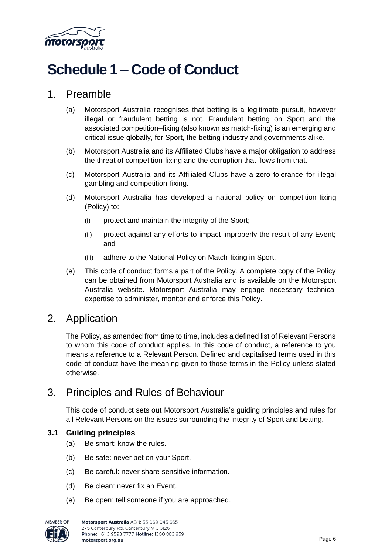

# **Schedule 1 – Code of Conduct**

## 1. Preamble

- (a) Motorsport Australia recognises that betting is a legitimate pursuit, however illegal or fraudulent betting is not. Fraudulent betting on Sport and the associated competition–fixing (also known as match-fixing) is an emerging and critical issue globally, for Sport, the betting industry and governments alike.
- (b) Motorsport Australia and its Affiliated Clubs have a major obligation to address the threat of competition-fixing and the corruption that flows from that.
- (c) Motorsport Australia and its Affiliated Clubs have a zero tolerance for illegal gambling and competition-fixing.
- (d) Motorsport Australia has developed a national policy on competition-fixing (Policy) to:
	- (i) protect and maintain the integrity of the Sport;
	- (ii) protect against any efforts to impact improperly the result of any Event; and
	- (iii) adhere to the National Policy on Match-fixing in Sport.
- (e) This code of conduct forms a part of the Policy. A complete copy of the Policy can be obtained from Motorsport Australia and is available on the Motorsport Australia website. Motorsport Australia may engage necessary technical expertise to administer, monitor and enforce this Policy.

## 2. Application

The Policy, as amended from time to time, includes a defined list of Relevant Persons to whom this code of conduct applies. In this code of conduct, a reference to you means a reference to a Relevant Person. Defined and capitalised terms used in this code of conduct have the meaning given to those terms in the Policy unless stated otherwise.

# 3. Principles and Rules of Behaviour

This code of conduct sets out Motorsport Australia's guiding principles and rules for all Relevant Persons on the issues surrounding the integrity of Sport and betting.

### **3.1 Guiding principles**

- (a) Be smart: know the rules.
- (b) Be safe: never bet on your Sport.
- (c) Be careful: never share sensitive information.
- (d) Be clean: never fix an Event.
- (e) Be open: tell someone if you are approached.

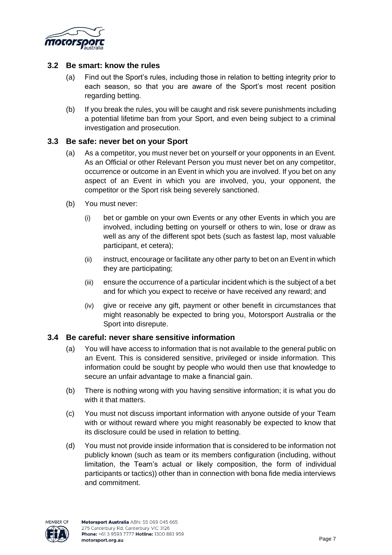

### **3.2 Be smart: know the rules**

- (a) Find out the Sport's rules, including those in relation to betting integrity prior to each season, so that you are aware of the Sport's most recent position regarding betting.
- (b) If you break the rules, you will be caught and risk severe punishments including a potential lifetime ban from your Sport, and even being subject to a criminal investigation and prosecution.

#### **3.3 Be safe: never bet on your Sport**

- (a) As a competitor, you must never bet on yourself or your opponents in an Event. As an Official or other Relevant Person you must never bet on any competitor, occurrence or outcome in an Event in which you are involved. If you bet on any aspect of an Event in which you are involved, you, your opponent, the competitor or the Sport risk being severely sanctioned.
- (b) You must never:
	- (i) bet or gamble on your own Events or any other Events in which you are involved, including betting on yourself or others to win, lose or draw as well as any of the different spot bets (such as fastest lap, most valuable participant, et cetera);
	- (ii) instruct, encourage or facilitate any other party to bet on an Event in which they are participating;
	- (iii) ensure the occurrence of a particular incident which is the subject of a bet and for which you expect to receive or have received any reward; and
	- (iv) give or receive any gift, payment or other benefit in circumstances that might reasonably be expected to bring you, Motorsport Australia or the Sport into disrepute.

### **3.4 Be careful: never share sensitive information**

- (a) You will have access to information that is not available to the general public on an Event. This is considered sensitive, privileged or inside information. This information could be sought by people who would then use that knowledge to secure an unfair advantage to make a financial gain.
- (b) There is nothing wrong with you having sensitive information; it is what you do with it that matters.
- (c) You must not discuss important information with anyone outside of your Team with or without reward where you might reasonably be expected to know that its disclosure could be used in relation to betting.
- (d) You must not provide inside information that is considered to be information not publicly known (such as team or its members configuration (including, without limitation, the Team's actual or likely composition, the form of individual participants or tactics)) other than in connection with bona fide media interviews and commitment.

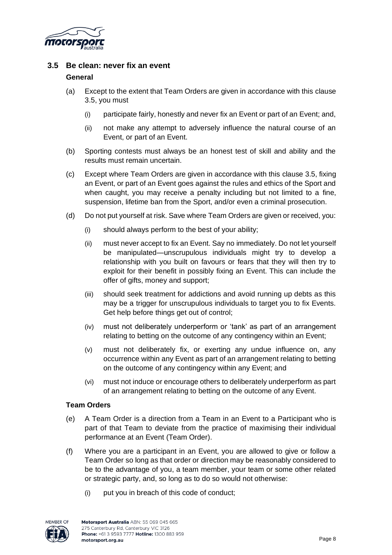

### **3.5 Be clean: never fix an event**

### **General**

- (a) Except to the extent that Team Orders are given in accordance with this clause 3.5, you must
	- (i) participate fairly, honestly and never fix an Event or part of an Event; and,
	- (ii) not make any attempt to adversely influence the natural course of an Event, or part of an Event.
- (b) Sporting contests must always be an honest test of skill and ability and the results must remain uncertain.
- (c) Except where Team Orders are given in accordance with this clause 3.5, fixing an Event, or part of an Event goes against the rules and ethics of the Sport and when caught, you may receive a penalty including but not limited to a fine, suspension, lifetime ban from the Sport, and/or even a criminal prosecution.
- (d) Do not put yourself at risk. Save where Team Orders are given or received, you:
	- (i) should always perform to the best of your ability;
	- (ii) must never accept to fix an Event. Say no immediately. Do not let yourself be manipulated—unscrupulous individuals might try to develop a relationship with you built on favours or fears that they will then try to exploit for their benefit in possibly fixing an Event. This can include the offer of gifts, money and support;
	- (iii) should seek treatment for addictions and avoid running up debts as this may be a trigger for unscrupulous individuals to target you to fix Events. Get help before things get out of control;
	- (iv) must not deliberately underperform or 'tank' as part of an arrangement relating to betting on the outcome of any contingency within an Event;
	- (v) must not deliberately fix, or exerting any undue influence on, any occurrence within any Event as part of an arrangement relating to betting on the outcome of any contingency within any Event; and
	- (vi) must not induce or encourage others to deliberately underperform as part of an arrangement relating to betting on the outcome of any Event.

### **Team Orders**

- (e) A Team Order is a direction from a Team in an Event to a Participant who is part of that Team to deviate from the practice of maximising their individual performance at an Event (Team Order).
- (f) Where you are a participant in an Event, you are allowed to give or follow a Team Order so long as that order or direction may be reasonably considered to be to the advantage of you, a team member, your team or some other related or strategic party, and, so long as to do so would not otherwise:
	- (i) put you in breach of this code of conduct;